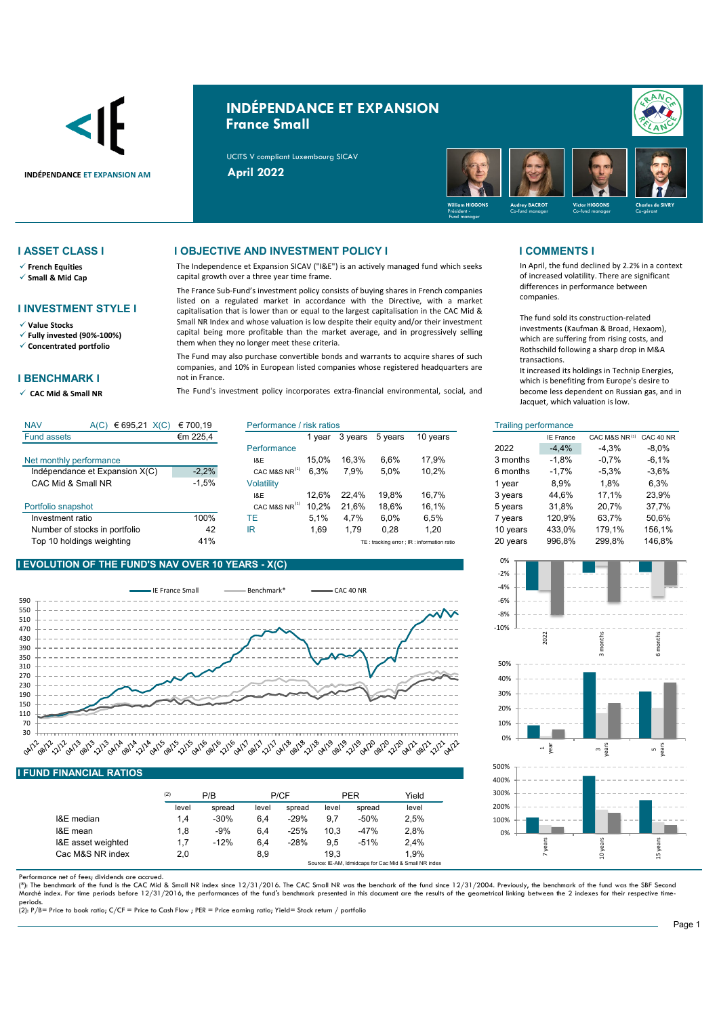

# **INDÉPENDANCE ET EXPANSION France Small**





- **French Equities**
- **Small & Mid Cap**

## **I INVESTMENT STYLE I**

**Value Stocks**

**Fully invested (90%-100%)**

**Concentrated portfolio**

## **I BENCHMARK I**

**CAC Mid & Small NR** 

### **I ASSET CLASS I I OBJECTIVE AND INVESTMENT POLICY I I COMMENTS I**

The Independence et Expansion SICAV ("I&E") is an actively managed fund which seeks capital growth over a three year time frame.

The France Sub-Fund's investment policy consists of buying shares in French companies listed on a regulated market in accordance with the Directive, with a market capitalisation that is lower than or equal to the largest capitalisation in the CAC Mid & Small NR Index and whose valuation is low despite their equity and/or their investment capital being more profitable than the market average, and in progressively selling them when they no longer meet these criteria.

The Fund may also purchase convertible bonds and warrants to acquire shares of such companies, and 10% in European listed companies whose registered headquarters are not in France.

The Fund's investment policy incorporates extra-financial environmental, social, and

In April, the fund declined by 2.2% in a context of increased volatility. There are significant differences in performance between companies.

The fund sold its construction-related investments (Kaufman & Broad, Hexaom), which are suffering from rising costs, and Rothschild following a sharp drop in M&A transactions.

It increased its holdings in Technip Energies, which is benefiting from Europe's desire to become less dependent on Russian gas, and in Jacquet, which valuation is low.

| CAC 40 NR |
|-----------|
| $-8.0\%$  |
| -6,1%     |
| $-3.6%$   |
| 6,3%      |
| 23,9%     |
| 37,7%     |
| 50,6%     |
| 156,1%    |
| 146,8%    |
|           |

## **I EVOLUTION OF THE FUND'S NAV OVER 10 YEARS - X(C)**



### **I FUND FINANCIAL RATIOS**

| (2)   | P/B    |       |        |       |        | Yield |
|-------|--------|-------|--------|-------|--------|-------|
| level | spread | level | spread | level | spread | level |
| 1.4   | $-30%$ | 6.4   | $-29%$ | 9.7   | $-50%$ | 2.5%  |
| 1.8   | $-9%$  | 6.4   | $-25%$ | 10.3  | $-47%$ | 2,8%  |
| 1.7   | $-12%$ | 6.4   | $-28%$ | 9.5   | $-51%$ | 2.4%  |
| 2,0   |        | 8,9   |        | 19.3  |        | 1.9%  |
|       |        |       |        | P/CF  |        | PER   |

Performance net of fees; dividends are accrued.

(\*): The benchmark of the fund is the CAC Mid & Small NR index since 12/31/2016. The CAC Small NR was the benchark of the fund since 12/31/2004. Previously, the benchmark of the fund was the SBF Second<br>Marché index. For ti

periods. (2): P/B= Price to book ratio; C/CF = Price to Cash Flow ; PER = Price earning ratio; Yield= Stock return / portfolio